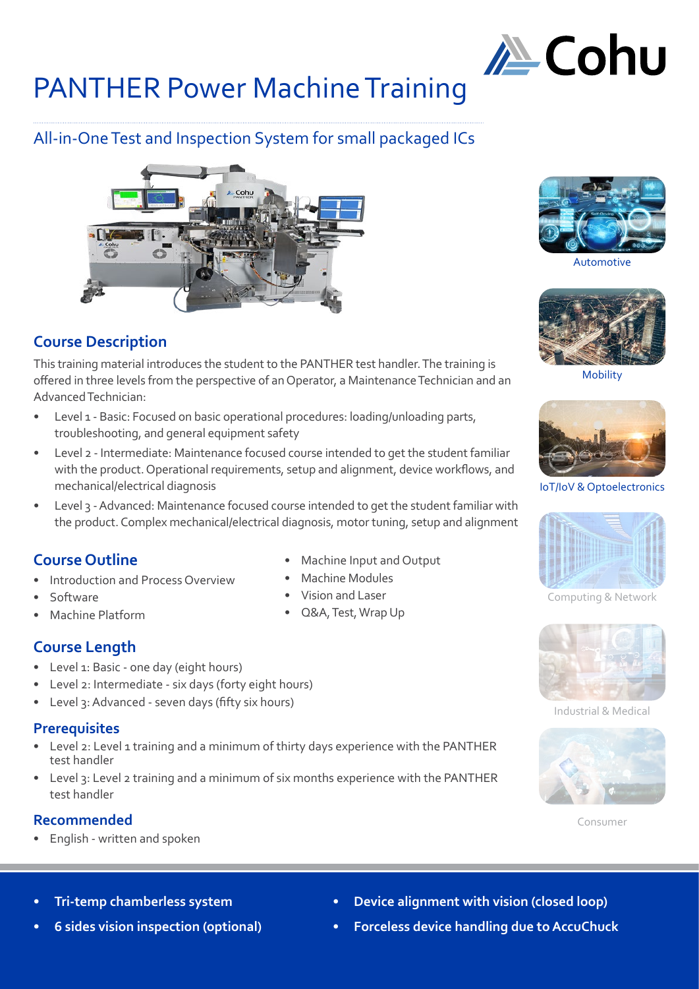

# All-in-One Test and Inspection System for small packaged ICs



# **Course Description**

This training material introduces the student to the PANTHER test handler. The training is offered in three levels from the perspective of an Operator, a Maintenance Technician and an Advanced Technician:

- Level 1 Basic: Focused on basic operational procedures: loading/unloading parts, troubleshooting, and general equipment safety
- Level 2 Intermediate: Maintenance focused course intended to get the student familiar with the product. Operational requirements, setup and alignment, device workflows, and mechanical/electrical diagnosis
- Level 3 Advanced: Maintenance focused course intended to get the student familiar with the product. Complex mechanical/electrical diagnosis, motor tuning, setup and alignment

# **Course Outline**

- Introduction and Process Overview
- Software
- Machine Platform
- **Course Length**
- Level 1: Basic one day (eight hours)
- Level 2: Intermediate six days (forty eight hours)
- Level 3: Advanced seven days (fifty six hours)

#### **Prerequisites**

- Level 2: Level 1 training and a minimum of thirty days experience with the PANTHER test handler
- Level 3: Level 2 training and a minimum of six months experience with the PANTHER test handler

# **Recommended**

• English - written and spoken

- Machine Input and Output
- Machine Modules
- Vision and Laser
- Q&A, Test, Wrap Up



Automotive



Mobility



IoT/IoV & Optoelectronics



Computing & Network



Industrial & Medical



Consumer

- **• Tri-temp chamberless system**
- **• 6 sides vision inspection (optional)**
- **• Device alignment with vision (closed loop)**
- **• Forceless device handling due to AccuChuck**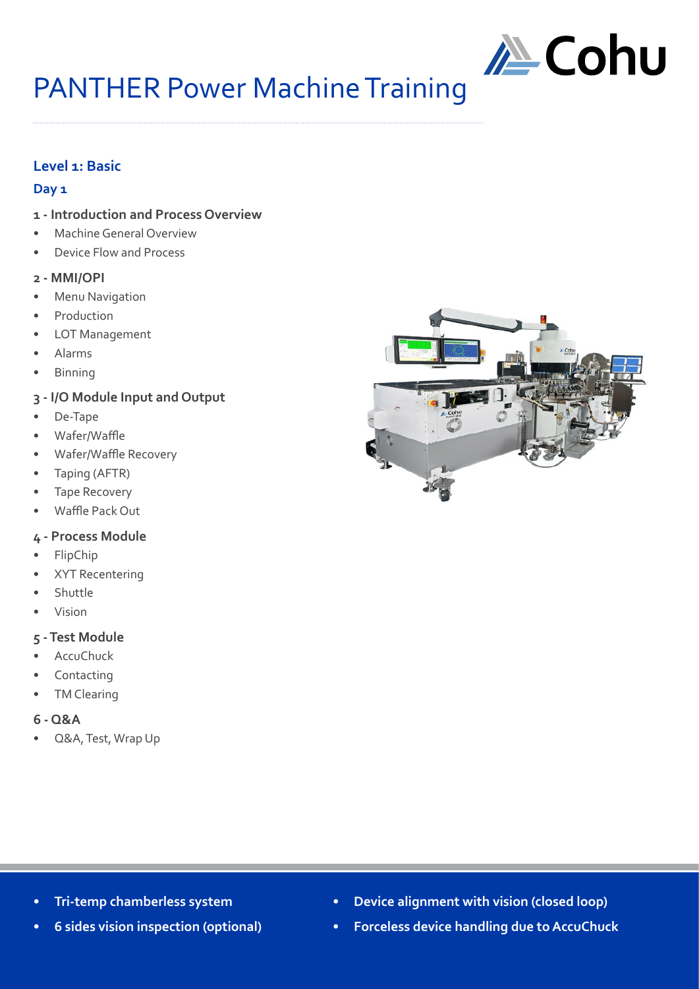

# **Level 1: Basic**

#### **Day 1**

- **1 Introduction and Process Overview**
- Machine General Overview
- Device Flow and Process

#### **2 - MMI/OPI**

- **Menu Navigation**
- **Production**
- LOT Management
- Alarms
- Binning
- **3 I/O Module Input and Output**
- De-Tape
- Wafer/Waffle
- Wafer/Waffle Recovery
- Taping (AFTR)
- Tape Recovery
- Waffle Pack Out

### **4 - Process Module**

- FlipChip
- XYT Recentering
- **Shuttle**
- Vision

#### **5 - Test Module**

- AccuChuck
- **Contacting**
- **TM Clearing**

#### **6 - Q&A**

• Q&A, Test, Wrap Up



- **• Tri-temp chamberless system**
- **• 6 sides vision inspection (optional)**
- **• Device alignment with vision (closed loop)**
- **• Forceless device handling due to AccuChuck**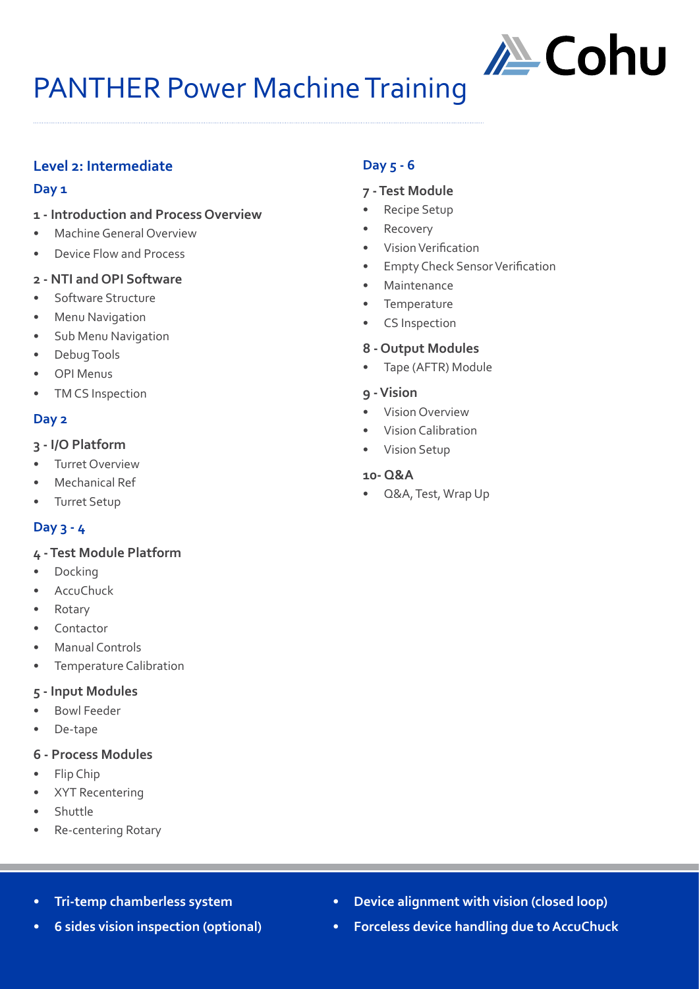

# **Level 2: Intermediate**

#### **Day 1**

- **1 Introduction and Process Overview**
- Machine General Overview
- Device Flow and Process

### **2 - NTI and OPI Software**

- Software Structure
- **Menu Navigation**
- Sub Menu Navigation
- Debug Tools
- OPI Menus
- TM CS Inspection

### **Day 2**

#### **3 - I/O Platform**

- **Turret Overview**
- Mechanical Ref
- Turret Setup

# **Day 3 - 4**

#### **4 - Test Module Platform**

- **Docking**
- **AccuChuck**
- Rotary
- **Contactor**
- Manual Controls
- Temperature Calibration

#### **5 - Input Modules**

- Bowl Feeder
- De-tape

### **6 - Process Modules**

- Flip Chip
- XYT Recentering
- **Shuttle**
- Re-centering Rotary

# **Day 5 - 6**

#### **7 - Test Module**

- Recipe Setup
- Recovery
- Vision Verification
- Empty Check Sensor Verification
- Maintenance
- Temperature
- CS Inspection

#### **8 - Output Modules**

• Tape (AFTR) Module

#### **9 - Vision**

- Vision Overview
- Vision Calibration
- Vision Setup

#### **10- Q&A**

• Q&A, Test, Wrap Up

- **• Tri-temp chamberless system**
- **• 6 sides vision inspection (optional)**
- **• Device alignment with vision (closed loop)**
- **• Forceless device handling due to AccuChuck**